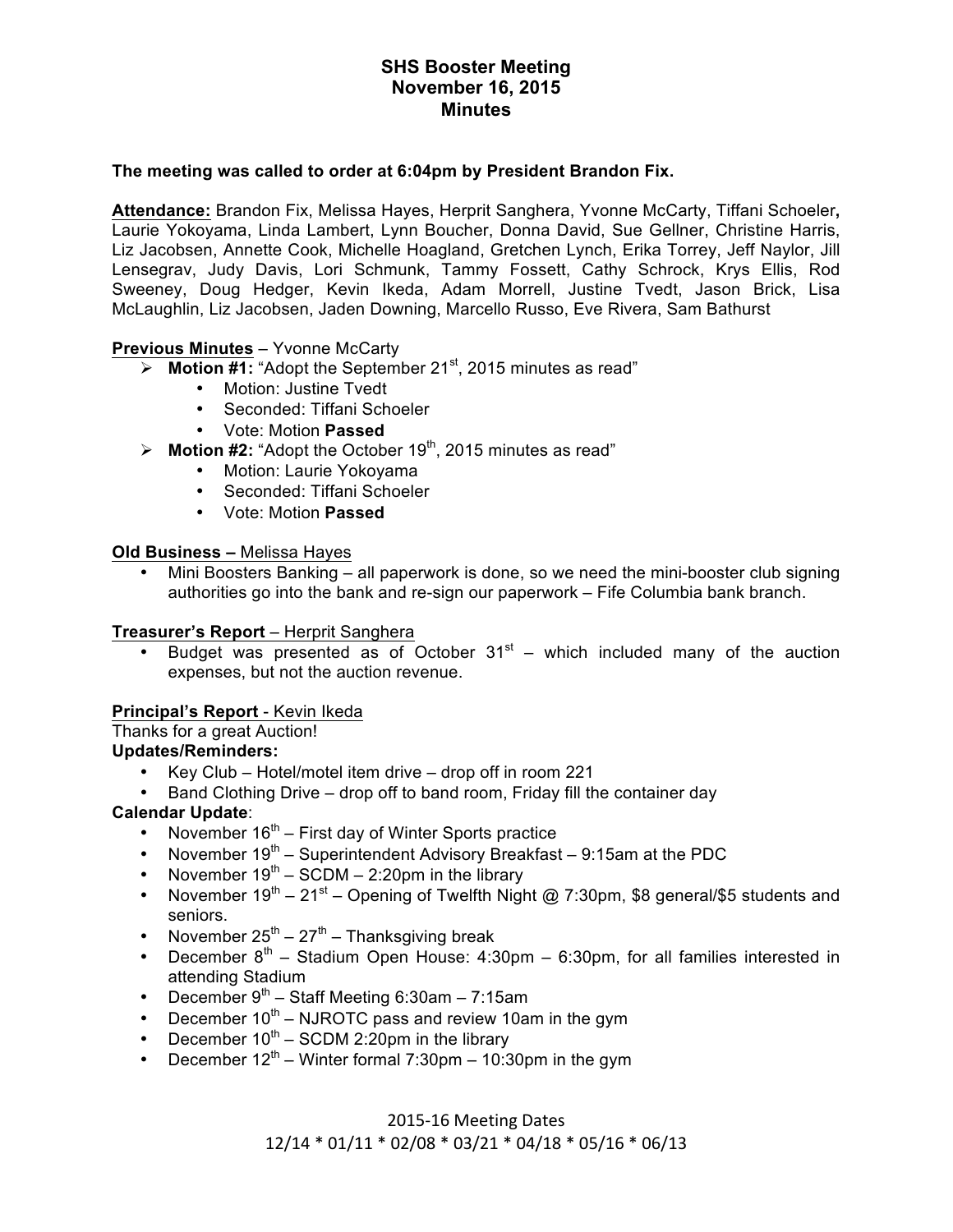### **The meeting was called to order at 6:04pm by President Brandon Fix.**

**Attendance:** Brandon Fix, Melissa Hayes, Herprit Sanghera, Yvonne McCarty, Tiffani Schoeler**,**  Laurie Yokoyama, Linda Lambert, Lynn Boucher, Donna David, Sue Gellner, Christine Harris, Liz Jacobsen, Annette Cook, Michelle Hoagland, Gretchen Lynch, Erika Torrey, Jeff Naylor, Jill Lensegrav, Judy Davis, Lori Schmunk, Tammy Fossett, Cathy Schrock, Krys Ellis, Rod Sweeney, Doug Hedger, Kevin Ikeda, Adam Morrell, Justine Tvedt, Jason Brick, Lisa McLaughlin, Liz Jacobsen, Jaden Downing, Marcello Russo, Eve Rivera, Sam Bathurst

## **Previous Minutes** – Yvonne McCarty

- **EXE** Motion #1: "Adopt the September 21<sup>st</sup>, 2015 minutes as read"
	- Motion: Justine Tvedt
	- Seconded: Tiffani Schoeler
	- Vote: Motion **Passed**
- $\triangleright$  **Motion #2:** "Adopt the October 19<sup>th</sup>, 2015 minutes as read"
	- Motion: Laurie Yokoyama
	- Seconded: Tiffani Schoeler
	- Vote: Motion **Passed**

### **Old Business –** Melissa Hayes

• Mini Boosters Banking – all paperwork is done, so we need the mini-booster club signing authorities go into the bank and re-sign our paperwork – Fife Columbia bank branch.

### **Treasurer's Report** – Herprit Sanghera

Budget was presented as of October  $31<sup>st</sup>$  – which included many of the auction expenses, but not the auction revenue.

### **Principal's Report** - Kevin Ikeda

# Thanks for a great Auction!

### **Updates/Reminders:**

- Key Club Hotel/motel item drive drop off in room 221
- Band Clothing Drive drop off to band room, Friday fill the container day

## **Calendar Update**:

- November  $16<sup>th</sup>$  First day of Winter Sports practice
- November  $19<sup>th</sup>$  Superintendent Advisory Breakfast 9:15am at the PDC
- November  $19<sup>th</sup> SCDM 2:20$  pm in the library
- November  $19^{th} 21^{st}$  Opening of Twelfth Night @ 7:30pm, \$8 general/\$5 students and seniors.
- November  $25^{th} 27^{th}$  Thanksgiving break
- December  $8<sup>th</sup>$  Stadium Open House: 4:30pm 6:30pm, for all families interested in attending Stadium
- December  $9<sup>th</sup>$  Staff Meeting 6:30am 7:15am
- December  $10<sup>th</sup>$  NJROTC pass and review 10am in the gym
- December  $10^{th}$  SCDM 2:20pm in the library
- December  $12<sup>th</sup>$  Winter formal 7:30pm 10:30pm in the gym

### 2015-16 Meeting Dates

### 12/14 \* 01/11 \* 02/08 \* 03/21 \* 04/18 \* 05/16 \* 06/13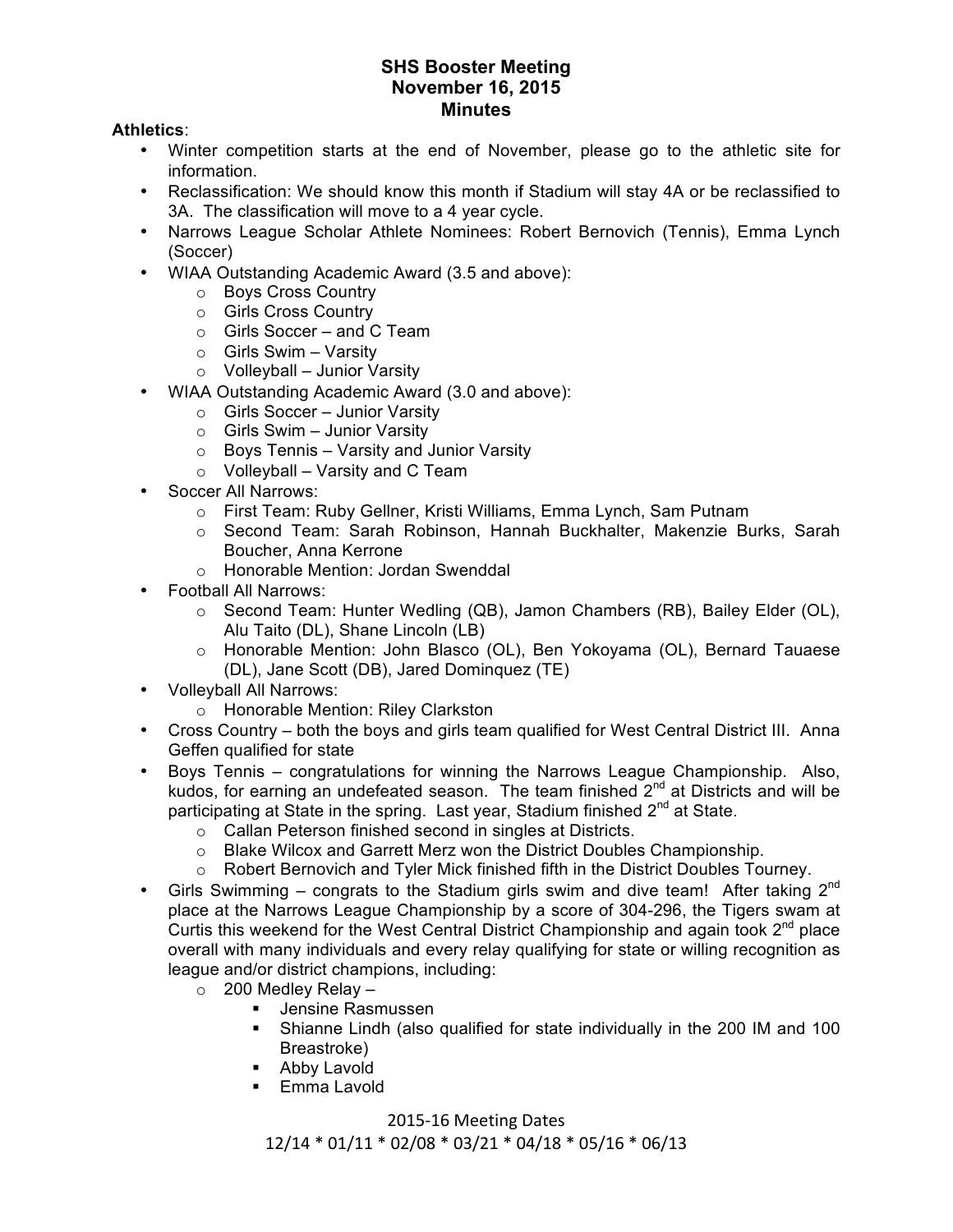### **Athletics**:

- Winter competition starts at the end of November, please go to the athletic site for information.
- Reclassification: We should know this month if Stadium will stay 4A or be reclassified to 3A. The classification will move to a 4 year cycle.
- Narrows League Scholar Athlete Nominees: Robert Bernovich (Tennis), Emma Lynch (Soccer)
- WIAA Outstanding Academic Award (3.5 and above):
	- o Boys Cross Country
	- o Girls Cross Country
	- o Girls Soccer and C Team
	- $\circ$  Girls Swim Varsity
	- o Volleyball Junior Varsity
- WIAA Outstanding Academic Award (3.0 and above):
	- o Girls Soccer Junior Varsity
	- $\circ$  Girls Swim Junior Varsity
	- $\circ$  Boys Tennis Varsity and Junior Varsity
	- $\circ$  Volleyball Varsity and C Team
- Soccer All Narrows:
	- o First Team: Ruby Gellner, Kristi Williams, Emma Lynch, Sam Putnam
	- o Second Team: Sarah Robinson, Hannah Buckhalter, Makenzie Burks, Sarah Boucher, Anna Kerrone
	- o Honorable Mention: Jordan Swenddal
- Football All Narrows:
	- o Second Team: Hunter Wedling (QB), Jamon Chambers (RB), Bailey Elder (OL), Alu Taito (DL), Shane Lincoln (LB)
	- o Honorable Mention: John Blasco (OL), Ben Yokoyama (OL), Bernard Tauaese (DL), Jane Scott (DB), Jared Dominquez (TE)
- Volleyball All Narrows:
	- o Honorable Mention: Riley Clarkston
- Cross Country both the boys and girls team qualified for West Central District III. Anna Geffen qualified for state
- Boys Tennis congratulations for winning the Narrows League Championship. Also, kudos, for earning an undefeated season. The team finished 2<sup>nd</sup> at Districts and will be participating at State in the spring. Last year, Stadium finished  $2^{nd}$  at State.
	- o Callan Peterson finished second in singles at Districts.
	- $\circ$  Blake Wilcox and Garrett Merz won the District Doubles Championship.
	- $\circ$  Robert Bernovich and Tyler Mick finished fifth in the District Doubles Tourney.
- Girls Swimming congrats to the Stadium girls swim and dive team! After taking  $2^{nd}$ place at the Narrows League Championship by a score of 304-296, the Tigers swam at Curtis this weekend for the West Central District Championship and again took  $2<sup>nd</sup>$  place overall with many individuals and every relay qualifying for state or willing recognition as league and/or district champions, including:
	- $\circ$  200 Medlev Relav
		- **U** Jensine Rasmussen
		- " Shianne Lindh (also qualified for state individually in the 200 IM and 100 Breastroke)
		- **-** Abby Lavold
		- **Emma Lavold**

# 2015-16 Meeting Dates

12/14 \* 01/11 \* 02/08 \* 03/21 \* 04/18 \* 05/16 \* 06/13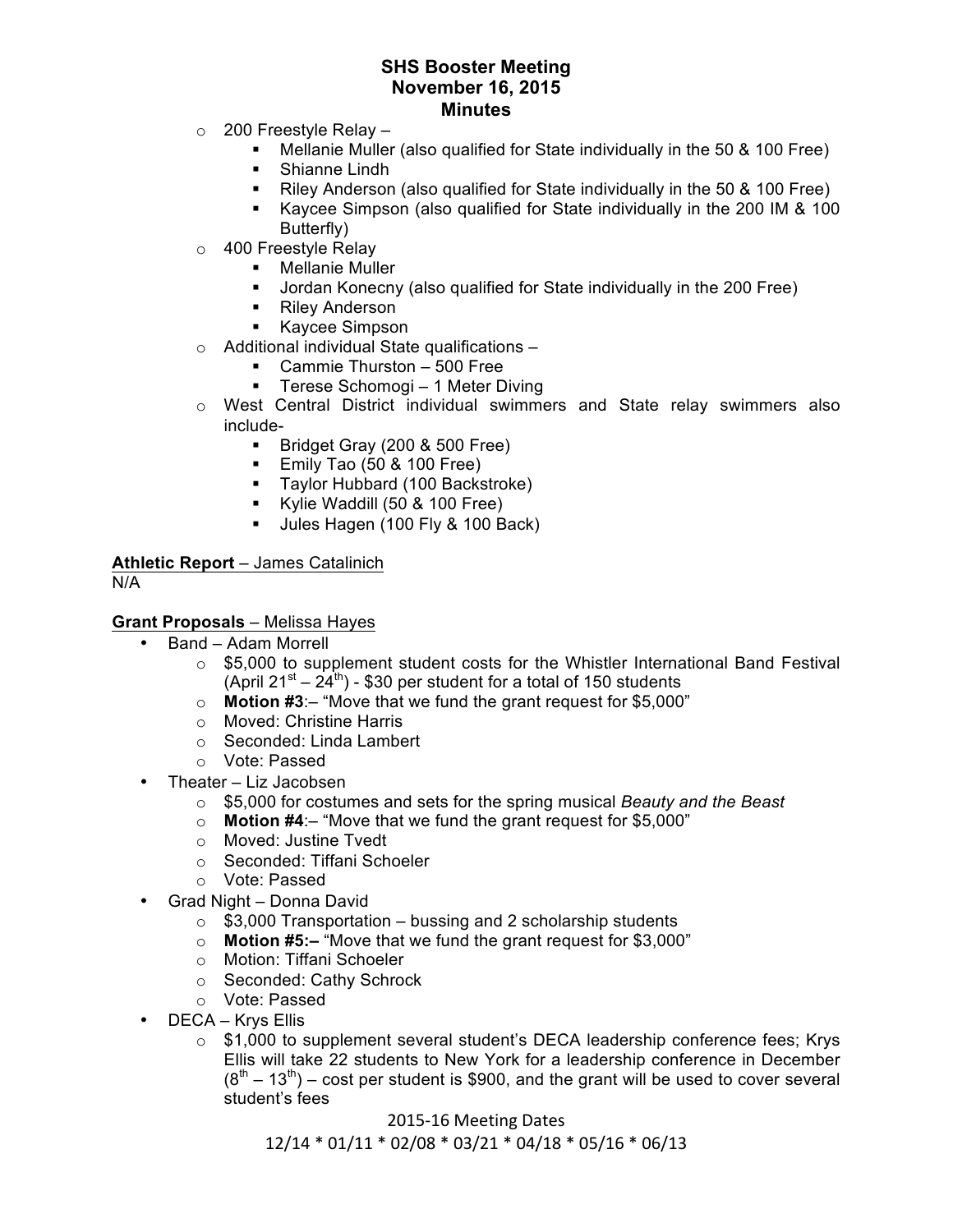- $\circ$  200 Freestyle Relay -
	- " Mellanie Muller (also qualified for State individually in the 50 & 100 Free)
	- **E** Shianne Lindh
	- Riley Anderson (also qualified for State individually in the 50 & 100 Free)
	- " Kaycee Simpson (also qualified for State individually in the 200 IM & 100 Butterfly)
- o 400 Freestyle Relay
	- **Mellanie Muller**
	- " Jordan Konecny (also qualified for State individually in the 200 Free)
	- Riley Anderson
	- " Kaycee Simpson
- $\circ$  Additional individual State qualifications  $-$ 
	- " Cammie Thurston 500 Free
	- **Terese Schomogi 1 Meter Diving**
- $\circ$  West Central District individual swimmers and State relay swimmers also include-
	- " Bridget Gray (200 & 500 Free)
	- **Emily Tao (50 & 100 Free)**
	- " Taylor Hubbard (100 Backstroke)
	- " Kylie Waddill (50 & 100 Free)
	- Ules Hagen (100 Fly & 100 Back)

**Athletic Report** – James Catalinich

N/A

### **Grant Proposals** – Melissa Hayes

- Band Adam Morrell
	- o \$5,000 to supplement student costs for the Whistler International Band Festival (April  $21^{st} - 24^{th}$ ) - \$30 per student for a total of 150 students
	- o **Motion #3**:– "Move that we fund the grant request for \$5,000"
	- o Moved: Christine Harris
	- o Seconded: Linda Lambert
	- o Vote: Passed
- Theater Liz Jacobsen
	- o \$5,000 for costumes and sets for the spring musical *Beauty and the Beast*
	- o **Motion #4**:– "Move that we fund the grant request for \$5,000"
	- o Moved: Justine Tvedt
	- o Seconded: Tiffani Schoeler
	- o Vote: Passed
- Grad Night Donna David
	- $\circ$  \$3,000 Transportation bussing and 2 scholarship students
	- o **Motion #5:–** "Move that we fund the grant request for \$3,000"
	- o Motion: Tiffani Schoeler
	- o Seconded: Cathy Schrock
	- o Vote: Passed
- DECA Krys Ellis
	- $\circ$  \$1,000 to supplement several student's DECA leadership conference fees; Krys Ellis will take 22 students to New York for a leadership conference in December  $(8<sup>th</sup> – 13<sup>th</sup>)$  – cost per student is \$900, and the grant will be used to cover several student's fees

2015-16 Meeting Dates 12/14 \* 01/11 \* 02/08 \* 03/21 \* 04/18 \* 05/16 \* 06/13